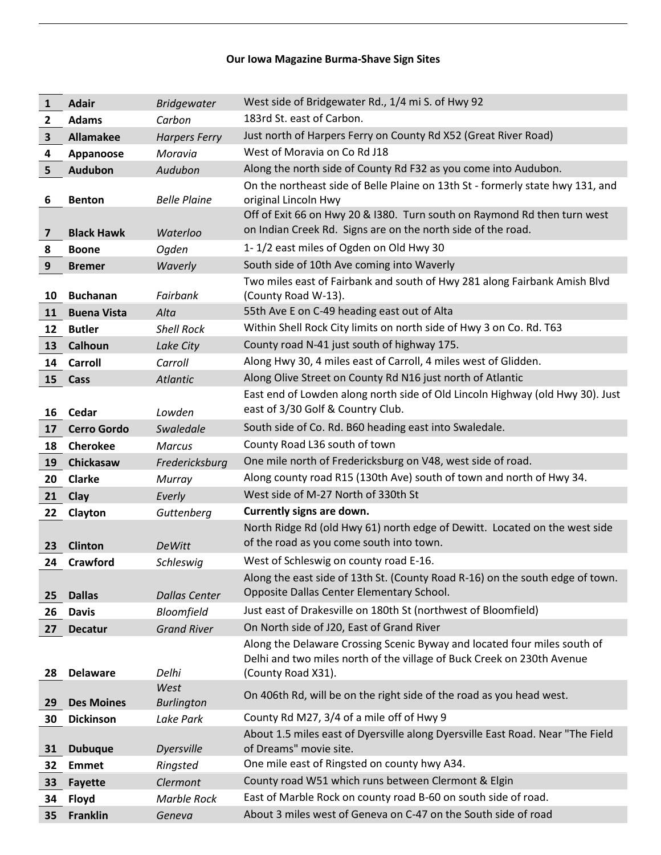## **Our Iowa Magazine Burma-Shave Sign Sites**

| $\mathbf{1}$      | <b>Adair</b>       | <b>Bridgewater</b>        | West side of Bridgewater Rd., 1/4 mi S. of Hwy 92                                                                                                                        |
|-------------------|--------------------|---------------------------|--------------------------------------------------------------------------------------------------------------------------------------------------------------------------|
| $\overline{2}$    | <b>Adams</b>       | Carbon                    | 183rd St. east of Carbon.                                                                                                                                                |
| 3                 | Allamakee          | <b>Harpers Ferry</b>      | Just north of Harpers Ferry on County Rd X52 (Great River Road)                                                                                                          |
| 4                 | Appanoose          | Moravia                   | West of Moravia on Co Rd J18                                                                                                                                             |
| 5                 | <b>Audubon</b>     | Audubon                   | Along the north side of County Rd F32 as you come into Audubon.                                                                                                          |
| 6                 | <b>Benton</b>      | <b>Belle Plaine</b>       | On the northeast side of Belle Plaine on 13th St - formerly state hwy 131, and<br>original Lincoln Hwy                                                                   |
| 7                 | <b>Black Hawk</b>  | Waterloo                  | Off of Exit 66 on Hwy 20 & I380. Turn south on Raymond Rd then turn west<br>on Indian Creek Rd. Signs are on the north side of the road.                                 |
| 8                 | <b>Boone</b>       | Ogden                     | 1-1/2 east miles of Ogden on Old Hwy 30                                                                                                                                  |
| $\boldsymbol{9}$  | <b>Bremer</b>      | Waverly                   | South side of 10th Ave coming into Waverly                                                                                                                               |
|                   |                    |                           | Two miles east of Fairbank and south of Hwy 281 along Fairbank Amish Blvd                                                                                                |
| 10                | <b>Buchanan</b>    | Fairbank                  | (County Road W-13).                                                                                                                                                      |
| <b>11</b>         | <b>Buena Vista</b> | Alta                      | 55th Ave E on C-49 heading east out of Alta                                                                                                                              |
| $12 \overline{ }$ | <b>Butler</b>      | <b>Shell Rock</b>         | Within Shell Rock City limits on north side of Hwy 3 on Co. Rd. T63                                                                                                      |
| 13                | Calhoun            | Lake City                 | County road N-41 just south of highway 175.                                                                                                                              |
| 14                | <b>Carroll</b>     | Carroll                   | Along Hwy 30, 4 miles east of Carroll, 4 miles west of Glidden.                                                                                                          |
| 15                | Cass               | <b>Atlantic</b>           | Along Olive Street on County Rd N16 just north of Atlantic                                                                                                               |
| 16                | Cedar              | Lowden                    | East end of Lowden along north side of Old Lincoln Highway (old Hwy 30). Just<br>east of 3/30 Golf & Country Club.                                                       |
| 17                | <b>Cerro Gordo</b> | Swaledale                 | South side of Co. Rd. B60 heading east into Swaledale.                                                                                                                   |
| 18                | <b>Cherokee</b>    | <b>Marcus</b>             | County Road L36 south of town                                                                                                                                            |
| 19                | Chickasaw          | Fredericksburg            | One mile north of Fredericksburg on V48, west side of road.                                                                                                              |
| 20                | <b>Clarke</b>      | Murray                    | Along county road R15 (130th Ave) south of town and north of Hwy 34.                                                                                                     |
| 21                | Clay               | Everly                    | West side of M-27 North of 330th St                                                                                                                                      |
| 22                | Clayton            | Guttenberg                | Currently signs are down.                                                                                                                                                |
| 23                | <b>Clinton</b>     | <b>DeWitt</b>             | North Ridge Rd (old Hwy 61) north edge of Dewitt. Located on the west side<br>of the road as you come south into town.                                                   |
| 24                | Crawford           | Schleswig                 | West of Schleswig on county road E-16.                                                                                                                                   |
| 25                | <b>Dallas</b>      | <b>Dallas Center</b>      | Along the east side of 13th St. (County Road R-16) on the south edge of town.<br>Opposite Dallas Center Elementary School.                                               |
| 26                | <b>Davis</b>       | Bloomfield                | Just east of Drakesville on 180th St (northwest of Bloomfield)                                                                                                           |
| 27                | <b>Decatur</b>     | <b>Grand River</b>        | On North side of J20, East of Grand River                                                                                                                                |
| 28                | <b>Delaware</b>    | Delhi                     | Along the Delaware Crossing Scenic Byway and located four miles south of<br>Delhi and two miles north of the village of Buck Creek on 230th Avenue<br>(County Road X31). |
| 29                | <b>Des Moines</b>  | West<br><b>Burlington</b> | On 406th Rd, will be on the right side of the road as you head west.                                                                                                     |
| 30                | <b>Dickinson</b>   | Lake Park                 | County Rd M27, 3/4 of a mile off of Hwy 9                                                                                                                                |
| 31                | <b>Dubuque</b>     | <b>Dyersville</b>         | About 1.5 miles east of Dyersville along Dyersville East Road. Near "The Field<br>of Dreams" movie site.                                                                 |
| 32                | <b>Emmet</b>       | Ringsted                  | One mile east of Ringsted on county hwy A34.                                                                                                                             |
| 33                | Fayette            | Clermont                  | County road W51 which runs between Clermont & Elgin                                                                                                                      |
| 34                | <b>Floyd</b>       | <b>Marble Rock</b>        | East of Marble Rock on county road B-60 on south side of road.                                                                                                           |
| 35                | <b>Franklin</b>    | Geneva                    | About 3 miles west of Geneva on C-47 on the South side of road                                                                                                           |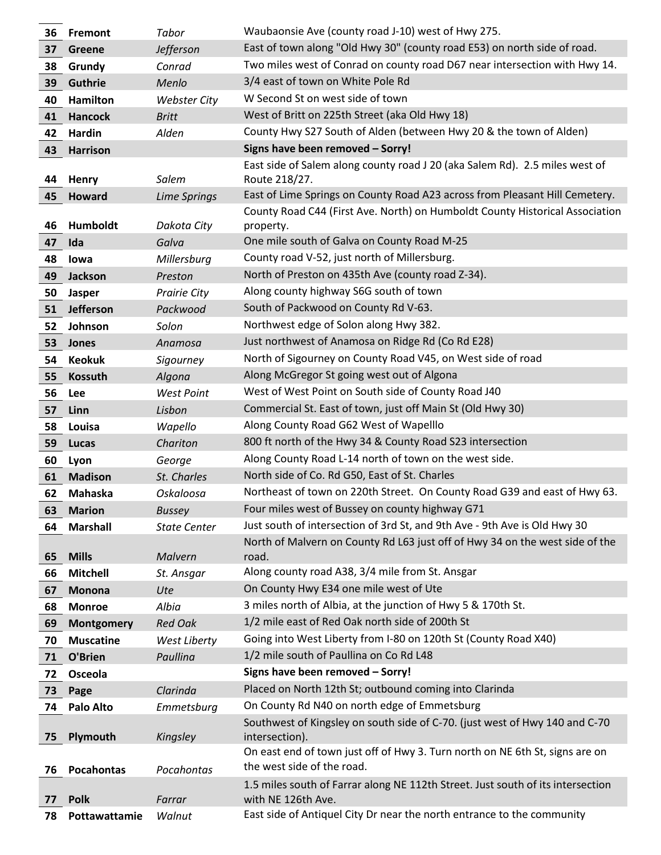| 36       | <b>Fremont</b>             | Tabor                           | Waubaonsie Ave (county road J-10) west of Hwy 275.                                                    |
|----------|----------------------------|---------------------------------|-------------------------------------------------------------------------------------------------------|
| 37       | Greene                     | Jefferson                       | East of town along "Old Hwy 30" (county road E53) on north side of road.                              |
| 38       | Grundy                     | Conrad                          | Two miles west of Conrad on county road D67 near intersection with Hwy 14.                            |
| 39       | Guthrie                    | Menlo                           | 3/4 east of town on White Pole Rd                                                                     |
| 40       | <b>Hamilton</b>            | <b>Webster City</b>             | W Second St on west side of town                                                                      |
| 41       | <b>Hancock</b>             | <b>Britt</b>                    | West of Britt on 225th Street (aka Old Hwy 18)                                                        |
| 42       | Hardin                     | Alden                           | County Hwy S27 South of Alden (between Hwy 20 & the town of Alden)                                    |
| 43       | Harrison                   |                                 | Signs have been removed - Sorry!                                                                      |
|          |                            |                                 | East side of Salem along county road J 20 (aka Salem Rd). 2.5 miles west of                           |
| 44       | <b>Henry</b>               | Salem                           | Route 218/27.                                                                                         |
| 45       | Howard                     | Lime Springs                    | East of Lime Springs on County Road A23 across from Pleasant Hill Cemetery.                           |
|          |                            |                                 | County Road C44 (First Ave. North) on Humboldt County Historical Association                          |
| 46       | Humboldt                   | Dakota City                     | property.<br>One mile south of Galva on County Road M-25                                              |
| 47       | Ida                        | Galva                           | County road V-52, just north of Millersburg.                                                          |
| 48       | lowa                       | Millersburg                     | North of Preston on 435th Ave (county road Z-34).                                                     |
| 49       | Jackson                    | Preston                         | Along county highway S6G south of town                                                                |
| 50       | Jasper<br><b>Jefferson</b> | <b>Prairie City</b><br>Packwood | South of Packwood on County Rd V-63.                                                                  |
| 51       | Johnson                    | Solon                           | Northwest edge of Solon along Hwy 382.                                                                |
| 52       |                            | Anamosa                         | Just northwest of Anamosa on Ridge Rd (Co Rd E28)                                                     |
| 53       | Jones<br><b>Keokuk</b>     |                                 | North of Sigourney on County Road V45, on West side of road                                           |
| 54       | Kossuth                    | Sigourney                       | Along McGregor St going west out of Algona                                                            |
| 55<br>56 |                            | Algona<br><b>West Point</b>     | West of West Point on South side of County Road J40                                                   |
| 57       | Lee<br>Linn                | Lisbon                          | Commercial St. East of town, just off Main St (Old Hwy 30)                                            |
| 58       | Louisa                     | Wapello                         | Along County Road G62 West of Wapelllo                                                                |
| 59       | Lucas                      | Chariton                        | 800 ft north of the Hwy 34 & County Road S23 intersection                                             |
| 60       | Lyon                       | George                          | Along County Road L-14 north of town on the west side.                                                |
| 61       | <b>Madison</b>             | St. Charles                     | North side of Co. Rd G50, East of St. Charles                                                         |
| 62       | <b>Mahaska</b>             | Oskaloosa                       | Northeast of town on 220th Street. On County Road G39 and east of Hwy 63.                             |
| 63       | <b>Marion</b>              | <b>Bussey</b>                   | Four miles west of Bussey on county highway G71                                                       |
| 64       | <b>Marshall</b>            | <b>State Center</b>             | Just south of intersection of 3rd St, and 9th Ave - 9th Ave is Old Hwy 30                             |
|          |                            |                                 |                                                                                                       |
| 65       |                            |                                 |                                                                                                       |
| 66       | <b>Mills</b>               | Malvern                         | North of Malvern on County Rd L63 just off of Hwy 34 on the west side of the<br>road.                 |
| 67       | <b>Mitchell</b>            | St. Ansgar                      | Along county road A38, 3/4 mile from St. Ansgar                                                       |
| 68       | <b>Monona</b>              | Ute                             | On County Hwy E34 one mile west of Ute                                                                |
|          | <b>Monroe</b>              | Albia                           | 3 miles north of Albia, at the junction of Hwy 5 & 170th St.                                          |
| 69       | <b>Montgomery</b>          | <b>Red Oak</b>                  | 1/2 mile east of Red Oak north side of 200th St                                                       |
| 70       | <b>Muscatine</b>           | West Liberty                    | Going into West Liberty from I-80 on 120th St (County Road X40)                                       |
| 71       | O'Brien                    | Paullina                        | 1/2 mile south of Paullina on Co Rd L48                                                               |
| 72       | Osceola                    |                                 | Signs have been removed - Sorry!                                                                      |
| 73       | Page                       | Clarinda                        | Placed on North 12th St; outbound coming into Clarinda                                                |
| 74       | <b>Palo Alto</b>           | Emmetsburg                      | On County Rd N40 on north edge of Emmetsburg                                                          |
|          |                            |                                 | Southwest of Kingsley on south side of C-70. (just west of Hwy 140 and C-70                           |
| 75       | Plymouth                   | Kingsley                        | intersection).                                                                                        |
|          |                            |                                 | On east end of town just off of Hwy 3. Turn north on NE 6th St, signs are on                          |
| 76       | <b>Pocahontas</b>          | Pocahontas                      | the west side of the road.                                                                            |
| 77       | <b>Polk</b>                | Farrar                          | 1.5 miles south of Farrar along NE 112th Street. Just south of its intersection<br>with NE 126th Ave. |